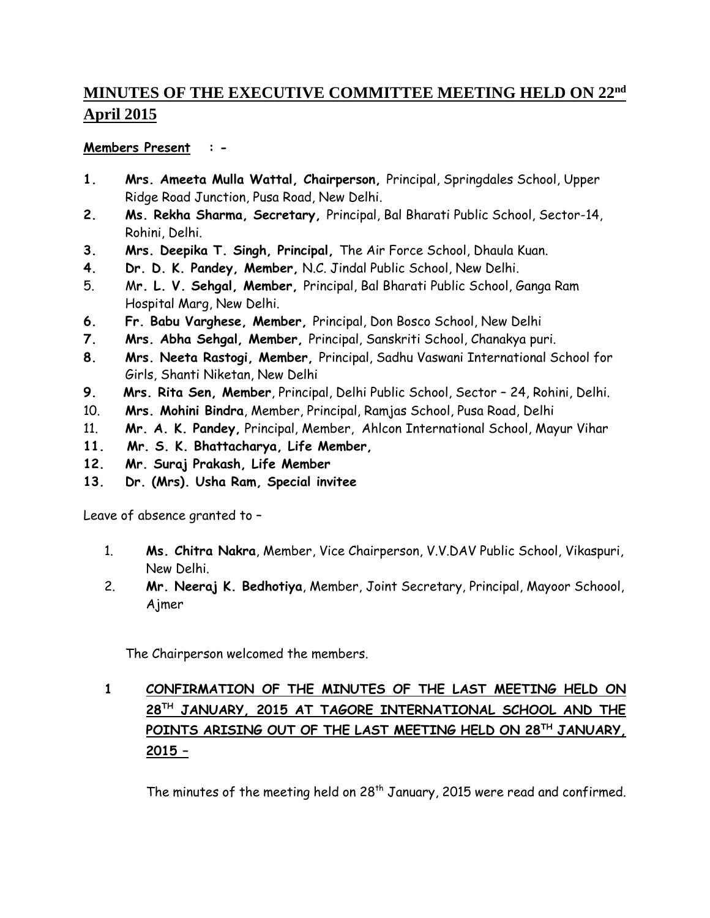## **MINUTES OF THE EXECUTIVE COMMITTEE MEETING HELD ON 22nd April 2015**

## **Members Present : -**

- **1. Mrs. Ameeta Mulla Wattal, Chairperson,** Principal, Springdales School, Upper Ridge Road Junction, Pusa Road, New Delhi.
- **2. Ms. Rekha Sharma, Secretary,** Principal, Bal Bharati Public School, Sector-14, Rohini, Delhi.
- **3. Mrs. Deepika T. Singh, Principal,** The Air Force School, Dhaula Kuan.
- **4. Dr. D. K. Pandey, Member,** N.C. Jindal Public School, New Delhi.
- 5. M**r. L. V. Sehgal, Member,** Principal, Bal Bharati Public School, Ganga Ram Hospital Marg, New Delhi.
- **6. Fr. Babu Varghese, Member,** Principal, Don Bosco School, New Delhi
- **7. Mrs. Abha Sehgal, Member,** Principal, Sanskriti School, Chanakya puri.
- **8. Mrs. Neeta Rastogi, Member,** Principal, Sadhu Vaswani International School for Girls, Shanti Niketan, New Delhi
- **9. Mrs. Rita Sen, Member**, Principal, Delhi Public School, Sector 24, Rohini, Delhi.
- 10. **Mrs. Mohini Bindra**, Member, Principal, Ramjas School, Pusa Road, Delhi
- 11. **Mr. A. K. Pandey,** Principal, Member, Ahlcon International School, Mayur Vihar
- **11. Mr. S. K. Bhattacharya, Life Member,**
- **12. Mr. Suraj Prakash, Life Member**
- **13. Dr. (Mrs). Usha Ram, Special invitee**

Leave of absence granted to –

- 1. **Ms. Chitra Nakra**, Member, Vice Chairperson, V.V.DAV Public School, Vikaspuri, New Delhi.
- 2. **Mr. Neeraj K. Bedhotiya**, Member, Joint Secretary, Principal, Mayoor Schoool, Ajmer

The Chairperson welcomed the members.

## **1 CONFIRMATION OF THE MINUTES OF THE LAST MEETING HELD ON 28TH JANUARY, 2015 AT TAGORE INTERNATIONAL SCHOOL AND THE POINTS ARISING OUT OF THE LAST MEETING HELD ON 28TH JANUARY, 2015 –**

The minutes of the meeting held on 28<sup>th</sup> January, 2015 were read and confirmed.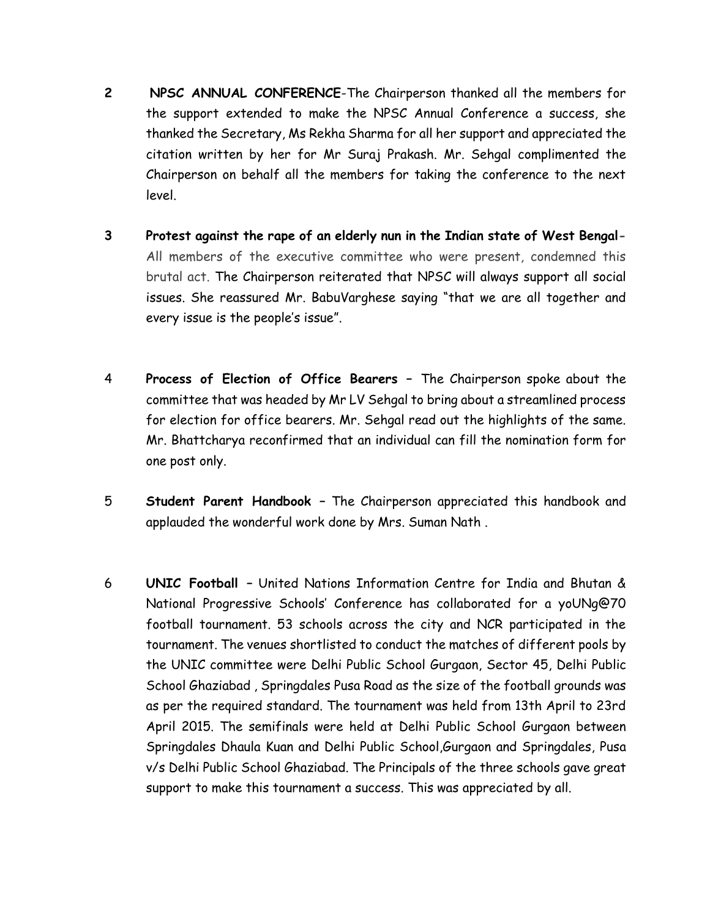- **2 NPSC ANNUAL CONFERENCE**-The Chairperson thanked all the members for the support extended to make the NPSC Annual Conference a success, she thanked the Secretary, Ms Rekha Sharma for all her support and appreciated the citation written by her for Mr Suraj Prakash. Mr. Sehgal complimented the Chairperson on behalf all the members for taking the conference to the next level.
- **3 Protest against the rape of an elderly nun in the Indian state of West Bengal-**All members of the executive committee who were present, condemned this brutal act. The Chairperson reiterated that NPSC will always support all social issues. She reassured Mr. BabuVarghese saying "that we are all together and every issue is the people's issue".
- 4 **Process of Election of Office Bearers –** The Chairperson spoke about the committee that was headed by Mr LV Sehgal to bring about a streamlined process for election for office bearers. Mr. Sehgal read out the highlights of the same. Mr. Bhattcharya reconfirmed that an individual can fill the nomination form for one post only.
- 5 **Student Parent Handbook –** The Chairperson appreciated this handbook and applauded the wonderful work done by Mrs. Suman Nath .
- 6 **UNIC Football –** United Nations Information Centre for India and Bhutan & National Progressive Schools' Conference has collaborated for a yoUNg@70 football tournament. 53 schools across the city and NCR participated in the tournament. The venues shortlisted to conduct the matches of different pools by the UNIC committee were Delhi Public School Gurgaon, Sector 45, Delhi Public School Ghaziabad , Springdales Pusa Road as the size of the football grounds was as per the required standard. The tournament was held from 13th April to 23rd April 2015. The semifinals were held at Delhi Public School Gurgaon between Springdales Dhaula Kuan and Delhi Public School,Gurgaon and Springdales, Pusa v/s Delhi Public School Ghaziabad. The Principals of the three schools gave great support to make this tournament a success. This was appreciated by all.